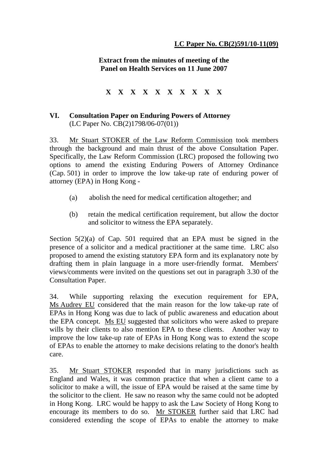**Extract from the minutes of meeting of the Panel on Health Services on 11 June 2007**

**X X X X X X X X X X**

## **VI. Consultation Paper on Enduring Powers of Attorney**  (LC Paper No. CB(2)1798/06-07(01))

33. Mr Stuart STOKER of the Law Reform Commission took members through the background and main thrust of the above Consultation Paper. Specifically, the Law Reform Commission (LRC) proposed the following two options to amend the existing Enduring Powers of Attorney Ordinance (Cap. 501) in order to improve the low take-up rate of enduring power of attorney (EPA) in Hong Kong -

- (a) abolish the need for medical certification altogether; and
- (b) retain the medical certification requirement, but allow the doctor and solicitor to witness the EPA separately.

Section 5(2)(a) of Cap. 501 required that an EPA must be signed in the presence of a solicitor and a medical practitioner at the same time. LRC also proposed to amend the existing statutory EPA form and its explanatory note by drafting them in plain language in a more user-friendly format. Members' views/comments were invited on the questions set out in paragraph 3.30 of the Consultation Paper.

34. While supporting relaxing the execution requirement for EPA, Ms Audrey EU considered that the main reason for the low take-up rate of EPAs in Hong Kong was due to lack of public awareness and education about the EPA concept. Ms EU suggested that solicitors who were asked to prepare wills by their clients to also mention EPA to these clients. Another way to improve the low take-up rate of EPAs in Hong Kong was to extend the scope of EPAs to enable the attorney to make decisions relating to the donor's health care.

35. Mr Stuart STOKER responded that in many jurisdictions such as England and Wales, it was common practice that when a client came to a solicitor to make a will, the issue of EPA would be raised at the same time by the solicitor to the client. He saw no reason why the same could not be adopted in Hong Kong. LRC would be happy to ask the Law Society of Hong Kong to encourage its members to do so. Mr STOKER further said that LRC had considered extending the scope of EPAs to enable the attorney to make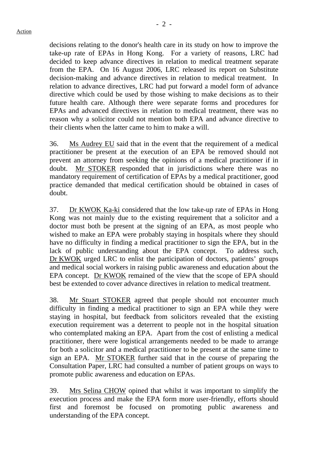decisions relating to the donor's health care in its study on how to improve the take-up rate of EPAs in Hong Kong. For a variety of reasons, LRC had decided to keep advance directives in relation to medical treatment separate from the EPA. On 16 August 2006, LRC released its report on Substitute decision-making and advance directives in relation to medical treatment. In relation to advance directives, LRC had put forward a model form of advance directive which could be used by those wishing to make decisions as to their future health care. Although there were separate forms and procedures for EPAs and advanced directives in relation to medical treatment, there was no reason why a solicitor could not mention both EPA and advance directive to their clients when the latter came to him to make a will.

36. Ms Audrey EU said that in the event that the requirement of a medical practitioner be present at the execution of an EPA be removed should not prevent an attorney from seeking the opinions of a medical practitioner if in doubt. Mr STOKER responded that in jurisdictions where there was no mandatory requirement of certification of EPAs by a medical practitioner, good practice demanded that medical certification should be obtained in cases of doubt.

37. Dr KWOK Ka-ki considered that the low take-up rate of EPAs in Hong Kong was not mainly due to the existing requirement that a solicitor and a doctor must both be present at the signing of an EPA, as most people who wished to make an EPA were probably staying in hospitals where they should have no difficulty in finding a medical practitioner to sign the EPA, but in the lack of public understanding about the EPA concept. To address such, Dr KWOK urged LRC to enlist the participation of doctors, patients' groups and medical social workers in raising public awareness and education about the EPA concept. Dr KWOK remained of the view that the scope of EPA should best be extended to cover advance directives in relation to medical treatment.

38. Mr Stuart STOKER agreed that people should not encounter much difficulty in finding a medical practitioner to sign an EPA while they were staying in hospital, but feedback from solicitors revealed that the existing execution requirement was a deterrent to people not in the hospital situation who contemplated making an EPA. Apart from the cost of enlisting a medical practitioner, there were logistical arrangements needed to be made to arrange for both a solicitor and a medical practitioner to be present at the same time to sign an EPA. Mr STOKER further said that in the course of preparing the Consultation Paper, LRC had consulted a number of patient groups on ways to promote public awareness and education on EPAs.

39. Mrs Selina CHOW opined that whilst it was important to simplify the execution process and make the EPA form more user-friendly, efforts should first and foremost be focused on promoting public awareness and understanding of the EPA concept.